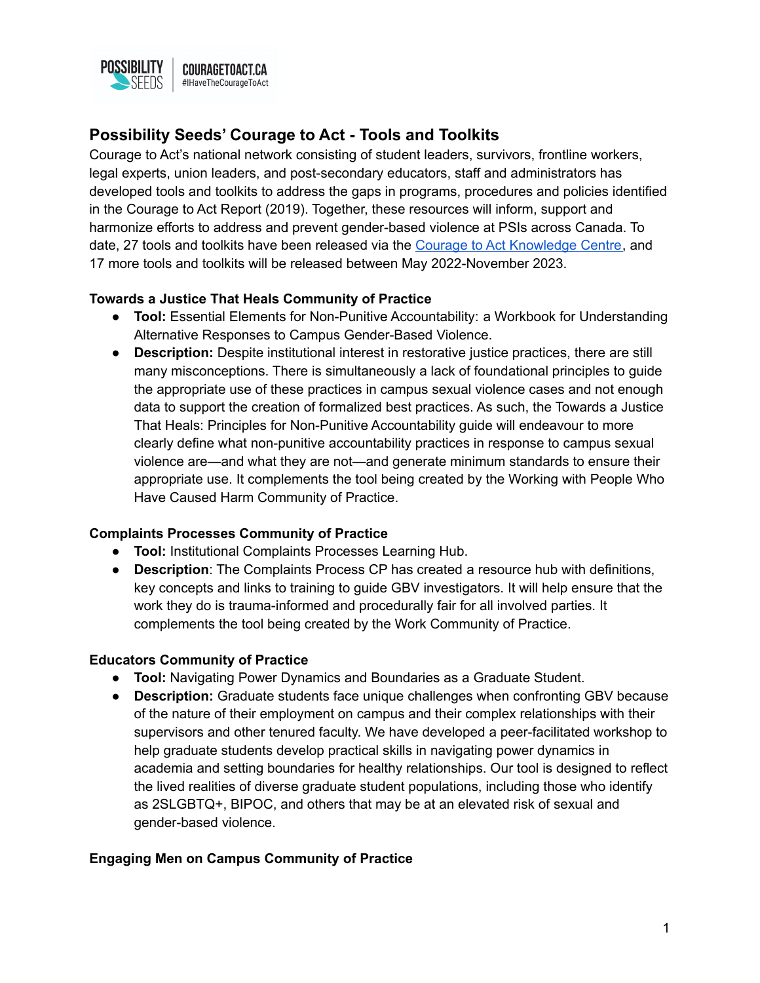

# **Possibility Seeds' Courage to Act - Tools and Toolkits**

Courage to Act's national network consisting of student leaders, survivors, frontline workers, legal experts, union leaders, and post-secondary educators, staff and administrators has developed tools and toolkits to address the gaps in programs, procedures and policies identified in the Courage to Act Report (2019). Together, these resources will inform, support and harmonize efforts to address and prevent gender-based violence at PSIs across Canada. To date, 27 tools and toolkits have been released via the Courage to Act [Knowledge](https://www.couragetoact.ca/knowledgecentre) Centre, and 17 more tools and toolkits will be released between May 2022-November 2023.

## **Towards a Justice That Heals Community of Practice**

- **Tool:** Essential Elements for Non-Punitive Accountability: a Workbook for Understanding Alternative Responses to Campus Gender-Based Violence.
- **Description:** Despite institutional interest in restorative justice practices, there are still many misconceptions. There is simultaneously a lack of foundational principles to guide the appropriate use of these practices in campus sexual violence cases and not enough data to support the creation of formalized best practices. As such, the Towards a Justice That Heals: Principles for Non-Punitive Accountability guide will endeavour to more clearly define what non-punitive accountability practices in response to campus sexual violence are—and what they are not—and generate minimum standards to ensure their appropriate use. It complements the tool being created by the Working with People Who Have Caused Harm Community of Practice.

## **Complaints Processes Community of Practice**

- **Tool:** Institutional Complaints Processes Learning Hub.
- **Description**: The Complaints Process CP has created a resource hub with definitions, key concepts and links to training to guide GBV investigators. It will help ensure that the work they do is trauma-informed and procedurally fair for all involved parties. It complements the tool being created by the Work Community of Practice.

## **Educators Community of Practice**

- **Tool:** Navigating Power Dynamics and Boundaries as a Graduate Student.
- **Description:** Graduate students face unique challenges when confronting GBV because of the nature of their employment on campus and their complex relationships with their supervisors and other tenured faculty. We have developed a peer-facilitated workshop to help graduate students develop practical skills in navigating power dynamics in academia and setting boundaries for healthy relationships. Our tool is designed to reflect the lived realities of diverse graduate student populations, including those who identify as 2SLGBTQ+, BIPOC, and others that may be at an elevated risk of sexual and gender-based violence.

## **Engaging Men on Campus Community of Practice**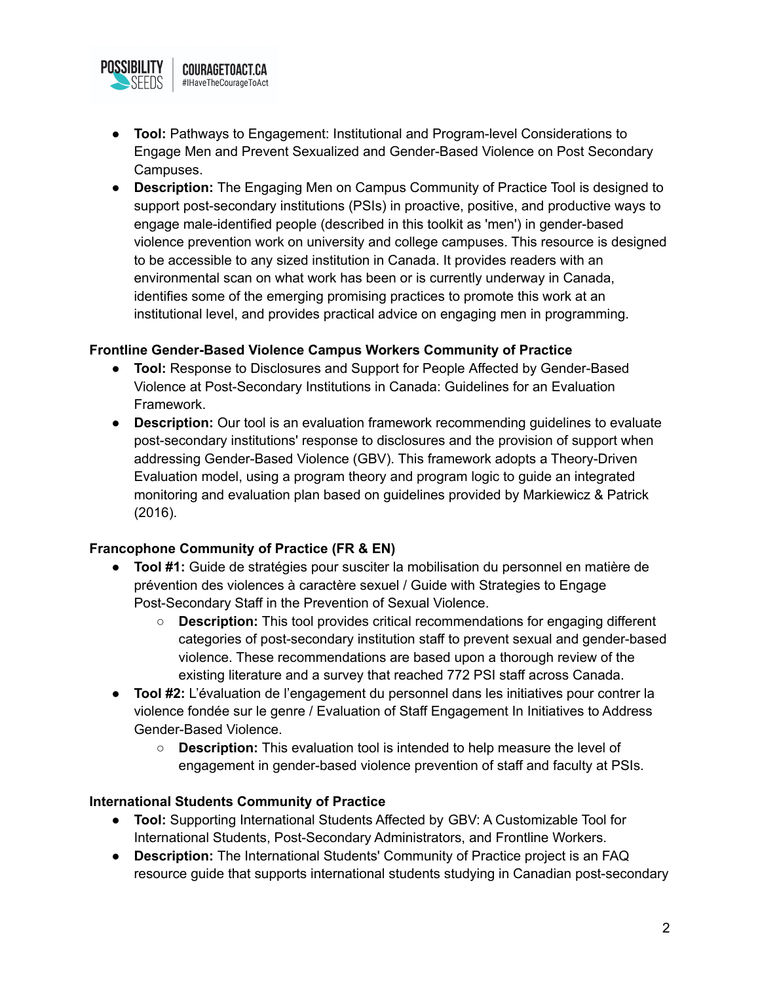

- **Tool:** Pathways to Engagement: Institutional and Program-level Considerations to Engage Men and Prevent Sexualized and Gender-Based Violence on Post Secondary Campuses.
- **Description:** The Engaging Men on Campus Community of Practice Tool is designed to support post-secondary institutions (PSIs) in proactive, positive, and productive ways to engage male-identified people (described in this toolkit as 'men') in gender-based violence prevention work on university and college campuses. This resource is designed to be accessible to any sized institution in Canada. It provides readers with an environmental scan on what work has been or is currently underway in Canada, identifies some of the emerging promising practices to promote this work at an institutional level, and provides practical advice on engaging men in programming.

## **Frontline Gender-Based Violence Campus Workers Community of Practice**

- **Tool:** Response to Disclosures and Support for People Affected by Gender-Based Violence at Post-Secondary Institutions in Canada: Guidelines for an Evaluation Framework.
- **Description:** Our tool is an evaluation framework recommending guidelines to evaluate post-secondary institutions' response to disclosures and the provision of support when addressing Gender-Based Violence (GBV). This framework adopts a Theory-Driven Evaluation model, using a program theory and program logic to guide an integrated monitoring and evaluation plan based on guidelines provided by Markiewicz & Patrick (2016).

## **Francophone Community of Practice (FR & EN)**

- **Tool #1:** Guide de stratégies pour susciter la mobilisation du personnel en matière de prévention des violences à caractère sexuel / Guide with Strategies to Engage Post-Secondary Staff in the Prevention of Sexual Violence.
	- **○ Description:** This tool provides critical recommendations for engaging different categories of post-secondary institution staff to prevent sexual and gender-based violence. These recommendations are based upon a thorough review of the existing literature and a survey that reached 772 PSI staff across Canada.
- **Tool #2:** L'évaluation de l'engagement du personnel dans les initiatives pour contrer la violence fondée sur le genre / Evaluation of Staff Engagement In Initiatives to Address Gender-Based Violence.
	- **○ Description:** This evaluation tool is intended to help measure the level of engagement in gender-based violence prevention of staff and faculty at PSIs.

## **International Students Community of Practice**

- **Tool:** Supporting International Students Affected by GBV: A Customizable Tool for International Students, Post-Secondary Administrators, and Frontline Workers.
- **Description:** The International Students' Community of Practice project is an FAQ resource guide that supports international students studying in Canadian post-secondary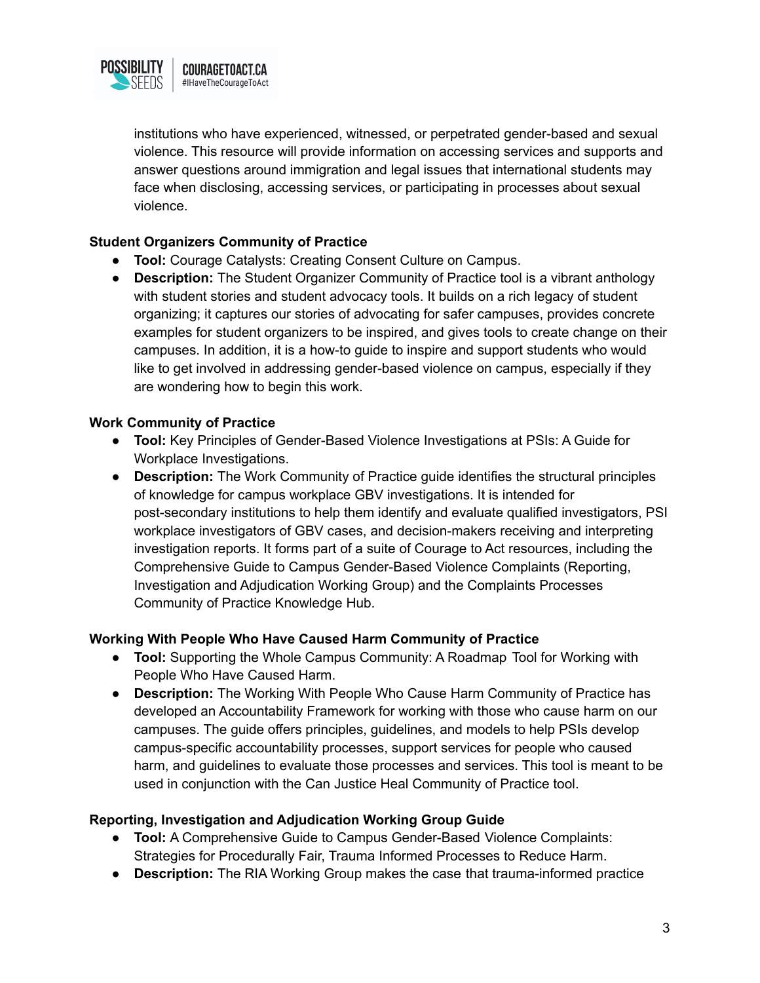

institutions who have experienced, witnessed, or perpetrated gender-based and sexual violence. This resource will provide information on accessing services and supports and answer questions around immigration and legal issues that international students may face when disclosing, accessing services, or participating in processes about sexual violence.

## **Student Organizers Community of Practice**

- **Tool:** Courage Catalysts: Creating Consent Culture on Campus.
- **Description:** The Student Organizer Community of Practice tool is a vibrant anthology with student stories and student advocacy tools. It builds on a rich legacy of student organizing; it captures our stories of advocating for safer campuses, provides concrete examples for student organizers to be inspired, and gives tools to create change on their campuses. In addition, it is a how-to guide to inspire and support students who would like to get involved in addressing gender-based violence on campus, especially if they are wondering how to begin this work.

## **Work Community of Practice**

- **Tool:** Key Principles of Gender-Based Violence Investigations at PSIs: A Guide for Workplace Investigations.
- **Description:** The Work Community of Practice guide identifies the structural principles of knowledge for campus workplace GBV investigations. It is intended for post-secondary institutions to help them identify and evaluate qualified investigators, PSI workplace investigators of GBV cases, and decision-makers receiving and interpreting investigation reports. It forms part of a suite of Courage to Act resources, including the Comprehensive Guide to Campus Gender-Based Violence Complaints (Reporting, Investigation and Adjudication Working Group) and the Complaints Processes Community of Practice Knowledge Hub.

## **Working With People Who Have Caused Harm Community of Practice**

- **Tool:** Supporting the Whole Campus Community: A Roadmap Tool for Working with People Who Have Caused Harm.
- **Description:** The Working With People Who Cause Harm Community of Practice has developed an Accountability Framework for working with those who cause harm on our campuses. The guide offers principles, guidelines, and models to help PSIs develop campus-specific accountability processes, support services for people who caused harm, and guidelines to evaluate those processes and services. This tool is meant to be used in conjunction with the Can Justice Heal Community of Practice tool.

## **Reporting, Investigation and Adjudication Working Group Guide**

- **Tool:** A Comprehensive Guide to Campus Gender-Based Violence Complaints: Strategies for Procedurally Fair, Trauma Informed Processes to Reduce Harm.
- **● Description:** The RIA Working Group makes the case that trauma-informed practice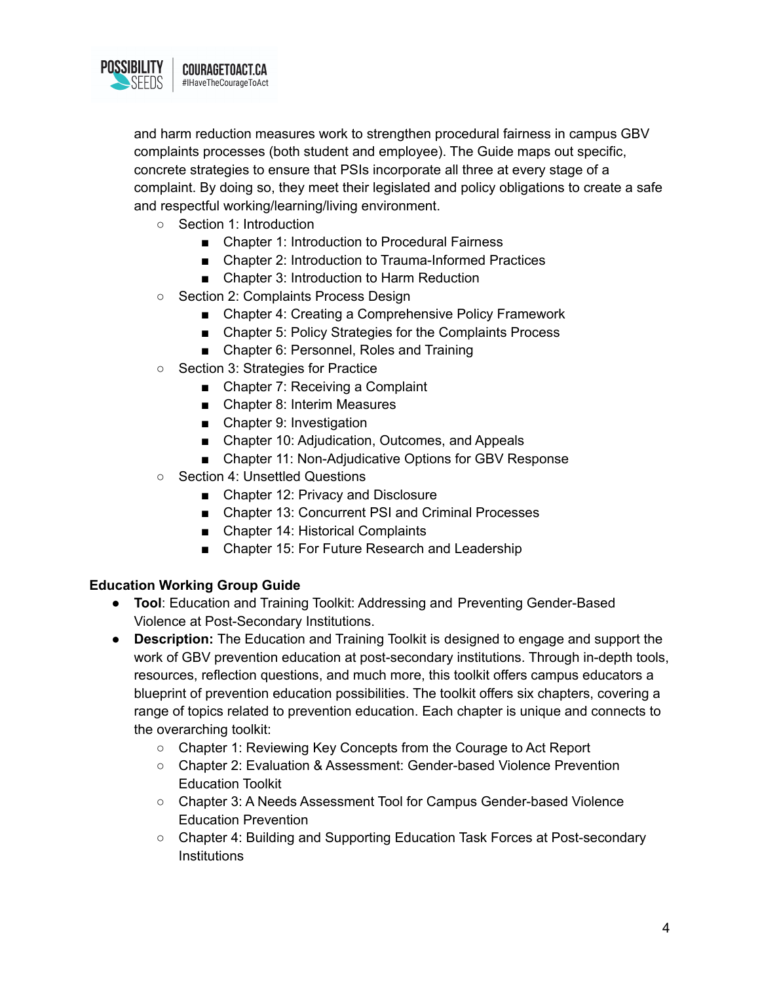

and harm reduction measures work to strengthen procedural fairness in campus GBV complaints processes (both student and employee). The Guide maps out specific, concrete strategies to ensure that PSIs incorporate all three at every stage of a complaint. By doing so, they meet their legislated and policy obligations to create a safe and respectful working/learning/living environment.

- Section 1: Introduction
	- Chapter 1: Introduction to Procedural Fairness
	- Chapter 2: Introduction to Trauma-Informed Practices
	- Chapter 3: Introduction to Harm Reduction
- Section 2: Complaints Process Design
	- Chapter 4: Creating a Comprehensive Policy Framework
	- Chapter 5: Policy Strategies for the Complaints Process
	- Chapter 6: Personnel, Roles and Training
- Section 3: Strategies for Practice
	- Chapter 7: Receiving a Complaint
	- Chapter 8: Interim Measures
	- Chapter 9: Investigation
	- Chapter 10: Adjudication, Outcomes, and Appeals
	- Chapter 11: Non-Adjudicative Options for GBV Response
- Section 4: Unsettled Questions
	- Chapter 12: Privacy and Disclosure
	- Chapter 13: Concurrent PSI and Criminal Processes
	- Chapter 14: Historical Complaints
	- Chapter 15: For Future Research and Leadership

## **Education Working Group Guide**

- **Tool**: Education and Training Toolkit: Addressing and Preventing Gender-Based Violence at Post-Secondary Institutions.
- **● Description:** The Education and Training Toolkit is designed to engage and support the work of GBV prevention education at post-secondary institutions. Through in-depth tools, resources, reflection questions, and much more, this toolkit offers campus educators a blueprint of prevention education possibilities. The toolkit offers six chapters, covering a range of topics related to prevention education. Each chapter is unique and connects to the overarching toolkit:
	- Chapter 1: Reviewing Key Concepts from the Courage to Act Report
	- Chapter 2: Evaluation & Assessment: Gender-based Violence Prevention Education Toolkit
	- Chapter 3: A Needs Assessment Tool for Campus Gender-based Violence Education Prevention
	- Chapter 4: Building and Supporting Education Task Forces at Post-secondary **Institutions**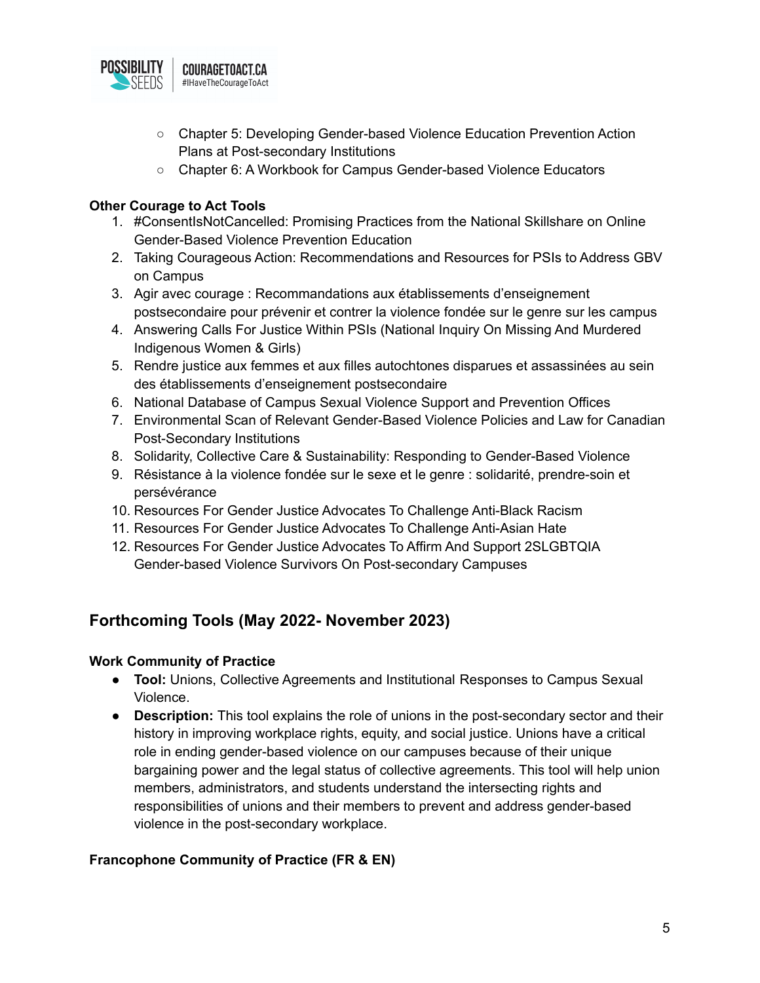

- Chapter 5: Developing Gender-based Violence Education Prevention Action Plans at Post-secondary Institutions
- Chapter 6: A Workbook for Campus Gender-based Violence Educators

## **Other Courage to Act Tools**

- 1. #ConsentIsNotCancelled: Promising Practices from the National Skillshare on Online Gender-Based Violence Prevention Education
- 2. Taking Courageous Action: Recommendations and Resources for PSIs to Address GBV on Campus
- 3. Agir avec courage : Recommandations aux établissements d'enseignement postsecondaire pour prévenir et contrer la violence fondée sur le genre sur les campus
- 4. Answering Calls For Justice Within PSIs (National Inquiry On Missing And Murdered Indigenous Women & Girls)
- 5. Rendre justice aux femmes et aux filles autochtones disparues et assassinées au sein des établissements d'enseignement postsecondaire
- 6. National Database of Campus Sexual Violence Support and Prevention Offices
- 7. Environmental Scan of Relevant Gender-Based Violence Policies and Law for Canadian Post-Secondary Institutions
- 8. Solidarity, Collective Care & Sustainability: Responding to Gender-Based Violence
- 9. Résistance à la violence fondée sur le sexe et le genre : solidarité, prendre-soin et persévérance
- 10. Resources For Gender Justice Advocates To Challenge Anti-Black Racism
- 11. Resources For Gender Justice Advocates To Challenge Anti-Asian Hate
- 12. Resources For Gender Justice Advocates To Affirm And Support 2SLGBTQIA Gender-based Violence Survivors On Post-secondary Campuses

## **Forthcoming Tools (May 2022- November 2023)**

## **Work Community of Practice**

- **Tool:** Unions, Collective Agreements and Institutional Responses to Campus Sexual Violence.
- **Description:** This tool explains the role of unions in the post-secondary sector and their history in improving workplace rights, equity, and social justice. Unions have a critical role in ending gender-based violence on our campuses because of their unique bargaining power and the legal status of collective agreements. This tool will help union members, administrators, and students understand the intersecting rights and responsibilities of unions and their members to prevent and address gender-based violence in the post-secondary workplace.

## **Francophone Community of Practice (FR & EN)**